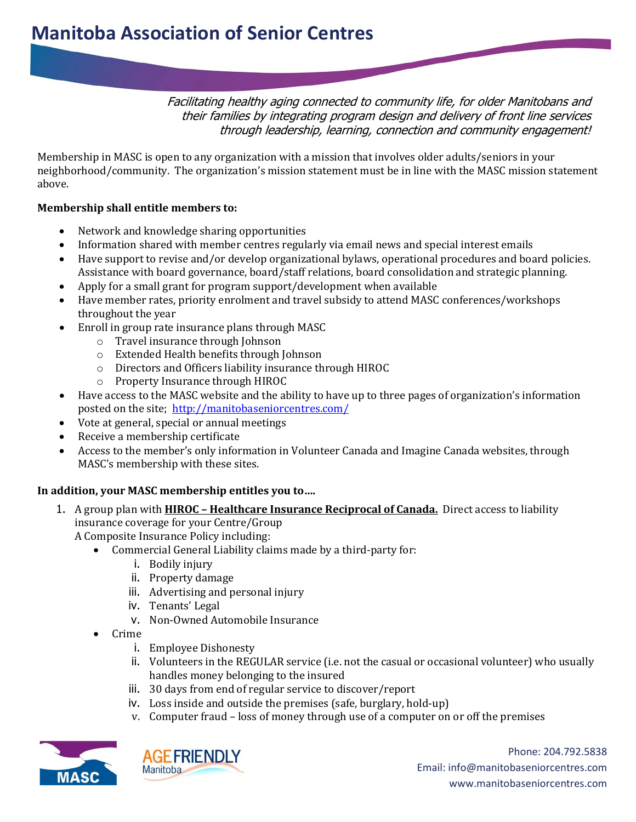Facilitating healthy aging connected to community life, for older Manitobans and their families by integrating program design and delivery of front line services through leadership, learning, connection and community engagement!

Membership in MASC is open to any organization with a mission that involves older adults/seniors in your neighborhood/community. The organization's mission statement must be in line with the MASC mission statement above.

#### **Membership shall entitle members to:**

- Network and knowledge sharing opportunities
- Information shared with member centres regularly via email news and special interest emails
- Have support to revise and/or develop organizational bylaws, operational procedures and board policies. Assistance with board governance, board/staff relations, board consolidation and strategic planning.
- Apply for a small grant for program support/development when available
- Have member rates, priority enrolment and travel subsidy to attend MASC conferences/workshops throughout the year
- Enroll in group rate insurance plans through MASC
	- o Travel insurance through Johnson
	- o Extended Health benefits through Johnson
	- o Directors and Officers liability insurance through HIROC
	- o Property Insurance through HIROC
- Have access to the MASC website and the ability to have up to three pages of organization's information posted on the site; <http://manitobaseniorcentres.com/>
- Vote at general, special or annual meetings
- Receive a membership certificate
- Access to the member's only information in Volunteer Canada and Imagine Canada websites, through MASC's membership with these sites.

### **In addition, your MASC membership entitles you to….**

- 1. A group plan with **HIROC – Healthcare Insurance Reciprocal of Canada.** Direct access to liability insurance coverage for your Centre/Group
	- A Composite Insurance Policy including:
		- Commercial General Liability claims made by a third-party for:
			- i. Bodily injury
			- ii. Property damage
			- iii. Advertising and personal injury
			- iv. Tenants' Legal
			- v. Non-Owned Automobile Insurance
		- Crime
			- i. Employee Dishonesty
			- ii. Volunteers in the REGULAR service (i.e. not the casual or occasional volunteer) who usually handles money belonging to the insured
			- iii. 30 days from end of regular service to discover/report
			- iv. Loss inside and outside the premises (safe, burglary, hold-up)
			- v. Computer fraud loss of money through use of a computer on or off the premises





Phone: 204.792.5838 Email: info@manitobaseniorcentres.com www.manitobaseniorcentres.com